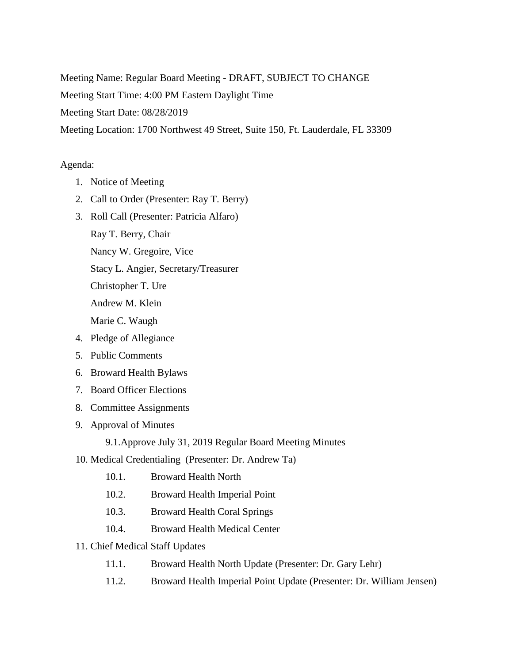Meeting Name: Regular Board Meeting - DRAFT, SUBJECT TO CHANGE Meeting Start Time: 4:00 PM Eastern Daylight Time Meeting Start Date: 08/28/2019 Meeting Location: 1700 Northwest 49 Street, Suite 150, Ft. Lauderdale, FL 33309

## Agenda:

- 1. Notice of Meeting
- 2. Call to Order (Presenter: Ray T. Berry)
- 3. Roll Call (Presenter: Patricia Alfaro)
	- Ray T. Berry, Chair

Nancy W. Gregoire, Vice

Stacy L. Angier, Secretary/Treasurer

Christopher T. Ure

Andrew M. Klein

Marie C. Waugh

- 4. Pledge of Allegiance
- 5. Public Comments
- 6. Broward Health Bylaws
- 7. Board Officer Elections
- 8. Committee Assignments
- 9. Approval of Minutes

9.1.Approve July 31, 2019 Regular Board Meeting Minutes

- 10. Medical Credentialing (Presenter: Dr. Andrew Ta)
	- 10.1. Broward Health North
	- 10.2. Broward Health Imperial Point
	- 10.3. Broward Health Coral Springs
	- 10.4. Broward Health Medical Center
- 11. Chief Medical Staff Updates
	- 11.1. Broward Health North Update (Presenter: Dr. Gary Lehr)
	- 11.2. Broward Health Imperial Point Update (Presenter: Dr. William Jensen)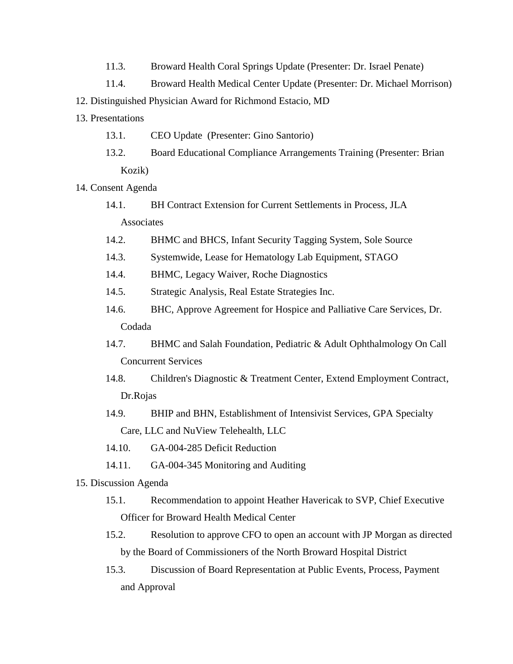- 11.3. Broward Health Coral Springs Update (Presenter: Dr. Israel Penate)
- 11.4. Broward Health Medical Center Update (Presenter: Dr. Michael Morrison)
- 12. Distinguished Physician Award for Richmond Estacio, MD
- 13. Presentations
	- 13.1. CEO Update (Presenter: Gino Santorio)
	- 13.2. Board Educational Compliance Arrangements Training (Presenter: Brian Kozik)
- 14. Consent Agenda
	- 14.1. BH Contract Extension for Current Settlements in Process, JLA Associates
	- 14.2. BHMC and BHCS, Infant Security Tagging System, Sole Source
	- 14.3. Systemwide, Lease for Hematology Lab Equipment, STAGO
	- 14.4. BHMC, Legacy Waiver, Roche Diagnostics
	- 14.5. Strategic Analysis, Real Estate Strategies Inc.
	- 14.6. BHC, Approve Agreement for Hospice and Palliative Care Services, Dr. Codada
	- 14.7. BHMC and Salah Foundation, Pediatric & Adult Ophthalmology On Call Concurrent Services
	- 14.8. Children's Diagnostic & Treatment Center, Extend Employment Contract, Dr.Rojas
	- 14.9. BHIP and BHN, Establishment of Intensivist Services, GPA Specialty Care, LLC and NuView Telehealth, LLC
	- 14.10. GA-004-285 Deficit Reduction
	- 14.11. GA-004-345 Monitoring and Auditing
- 15. Discussion Agenda
	- 15.1. Recommendation to appoint Heather Havericak to SVP, Chief Executive Officer for Broward Health Medical Center
	- 15.2. Resolution to approve CFO to open an account with JP Morgan as directed by the Board of Commissioners of the North Broward Hospital District
	- 15.3. Discussion of Board Representation at Public Events, Process, Payment and Approval